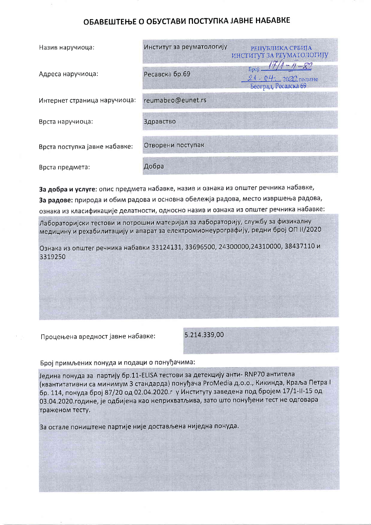## ОБАВЕШТЕЊЕ О ОБУСТАВИ ПОСТУПКА ЈАВНЕ НАБАВКЕ

| Назив наручиоца:              | Институт за реуматологију | <b>РЕПУБЛИКА СРБИЈА</b><br>ИНСТИТУТ ЗА РЕУМАТОЛОГИЈУ       |
|-------------------------------|---------------------------|------------------------------------------------------------|
| Адреса наручиоца:             | Ресавска бр.69            | Број: -<br>$24 - 04 = 2020$ године<br>Београд, Ресавска 69 |
| Интернет страница наручиоца:  | reumabeo@eunet.rs         |                                                            |
| Врста наручиоца:              | Здравство                 |                                                            |
| Врста поступка јавне набавке: | Отворени поступак         |                                                            |
| Врста предмета:               | Добра                     |                                                            |

За добра и услуге: опис предмета набавке, назив и ознака из општег речника набавке, За радове: природа и обим радова и основна обележја радова, место извршења радова, ознака из класификације делатности, односно назив и ознака из општег речника набавке:

Лабораторијски тестови и потрошни материјал за лабораторију, службу за физикалну медицину и рехабилитацију и апарат за електромионеурографију, редни број ОП II/2020

Ознака из општег речника набавки 33124131, 33696500, 24300000, 24310000, 38437110 и 3319250

Процењена вредност јавне набавке:

5.214.339,00

## Број примљених понуда и подаци о понуђачима:

Једина понуда за партију бр.11-ELISA тестови за детекцију анти- RNP70 антитела (квантитативни са минимум 3 стандарда) понуђача ProMedia д.о.о., Кикинда, Краља Петра I бр. 114, понуда број 87/20 од 02.04.2020. гу Институту заведена под бројем 17/1-II-15 од 03.04.2020. године, је одбијена као неприхватљива, зато што понуђени тест не одговара траженом тесту.

За остале поништене партије није достављена ниједна понуда.